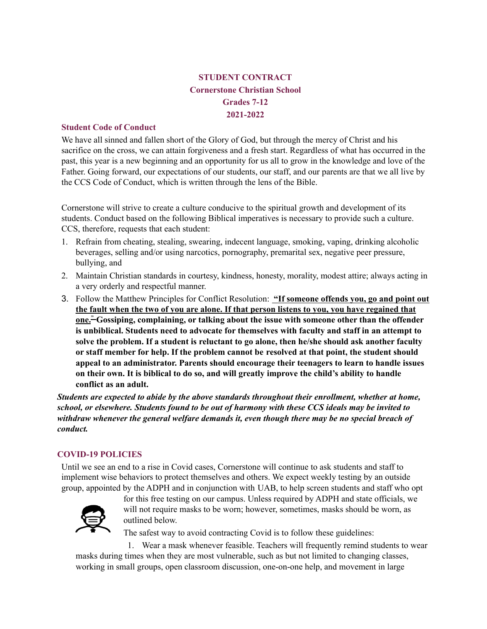# **STUDENT CONTRACT Cornerstone Christian School Grades 7-12 2021-2022**

#### **Student Code of Conduct**

We have all sinned and fallen short of the Glory of God, but through the mercy of Christ and his sacrifice on the cross, we can attain forgiveness and a fresh start. Regardless of what has occurred in the past, this year is a new beginning and an opportunity for us all to grow in the knowledge and love of the Father. Going forward, our expectations of our students, our staff, and our parents are that we all live by the CCS Code of Conduct, which is written through the lens of the Bible.

Cornerstone will strive to create a culture conducive to the spiritual growth and development of its students. Conduct based on the following Biblical imperatives is necessary to provide such a culture. CCS, therefore, requests that each student:

- 1. Refrain from cheating, stealing, swearing, indecent language, smoking, vaping, drinking alcoholic beverages, selling and/or using narcotics, pornography, premarital sex, negative peer pressure, bullying, and
- 2. Maintain Christian standards in courtesy, kindness, honesty, morality, modest attire; always acting in a very orderly and respectful manner.
- 3. Follow the Matthew Principles for Conflict Resolution: **"If someone offends you, go and point out** the fault when the two of you are alone. If that person listens to you, you have regained that **one. " Gossiping, complaining, or talking about the issue with someone other than the offender is unbiblical. Students need to advocate for themselves with faculty and staff in an attempt to solve the problem. If a student is reluctant to go alone, then he/she should ask another faculty or staff member for help. If the problem cannot be resolved at that point, the student should appeal to an administrator. Parents should encourage their teenagers to learn to handle issues on their own. It is biblical to do so, and will greatly improve the child's ability to handle conflict as an adult.**

*Students are expected to abide by the above standards throughout their enrollment, whether at home, school, or elsewhere. Students found to be out of harmony with these CCS ideals may be invited to withdraw whenever the general welfare demands it, even though there may be no special breach of conduct.*

# **COVID-19 POLICIES**

Until we see an end to a rise in Covid cases, Cornerstone will continue to ask students and staff to implement wise behaviors to protect themselves and others. We expect weekly testing by an outside group, appointed by the ADPH and in conjunction with UAB, to help screen students and staff who opt



for this free testing on our campus. Unless required by ADPH and state officials, we will not require masks to be worn; however, sometimes, masks should be worn, as outlined below.

The safest way to avoid contracting Covid is to follow these guidelines:

1. Wear a mask whenever feasible. Teachers will frequently remind students to wear masks during times when they are most vulnerable, such as but not limited to changing classes, working in small groups, open classroom discussion, one-on-one help, and movement in large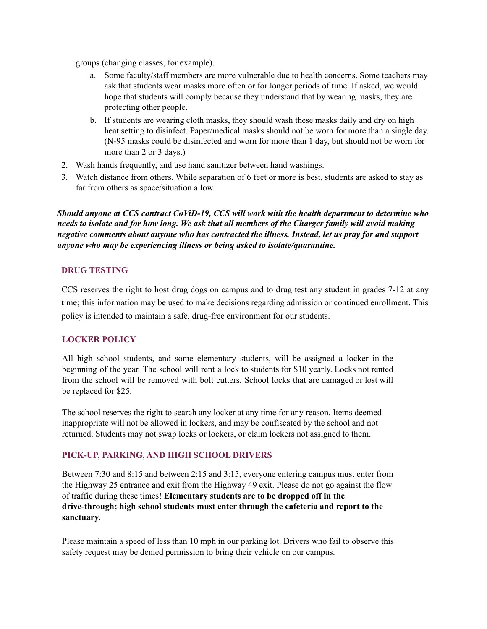groups (changing classes, for example).

- a. Some faculty/staff members are more vulnerable due to health concerns. Some teachers may ask that students wear masks more often or for longer periods of time. If asked, we would hope that students will comply because they understand that by wearing masks, they are protecting other people.
- b. If students are wearing cloth masks, they should wash these masks daily and dry on high heat setting to disinfect. Paper/medical masks should not be worn for more than a single day. (N-95 masks could be disinfected and worn for more than 1 day, but should not be worn for more than 2 or 3 days.)
- 2. Wash hands frequently, and use hand sanitizer between hand washings.
- 3. Watch distance from others. While separation of 6 feet or more is best, students are asked to stay as far from others as space/situation allow.

*Should anyone at CCS contract CoViD-19, CCS will work with the health department to determine who* needs to isolate and for how long. We ask that all members of the Charger family will avoid making *negative comments about anyone who has contracted the illness. Instead, let us pray for and support anyone who may be experiencing illness or being asked to isolate/quarantine.*

# **DRUG TESTING**

CCS reserves the right to host drug dogs on campus and to drug test any student in grades 7-12 at any time; this information may be used to make decisions regarding admission or continued enrollment. This policy is intended to maintain a safe, drug-free environment for our students.

# **LOCKER POLICY**

All high school students, and some elementary students, will be assigned a locker in the beginning of the year. The school will rent a lock to students for \$10 yearly. Locks not rented from the school will be removed with bolt cutters. School locks that are damaged or lost will be replaced for \$25.

The school reserves the right to search any locker at any time for any reason. Items deemed inappropriate will not be allowed in lockers, and may be confiscated by the school and not returned. Students may not swap locks or lockers, or claim lockers not assigned to them.

# **PICK-UP, PARKING, AND HIGH SCHOOL DRIVERS**

Between 7:30 and 8:15 and between 2:15 and 3:15, everyone entering campus must enter from the Highway 25 entrance and exit from the Highway 49 exit. Please do not go against the flow of traffic during these times! **Elementary students are to be dropped off in the drive-through; high school students must enter through the cafeteria and report to the sanctuary.**

Please maintain a speed of less than 10 mph in our parking lot. Drivers who fail to observe this safety request may be denied permission to bring their vehicle on our campus.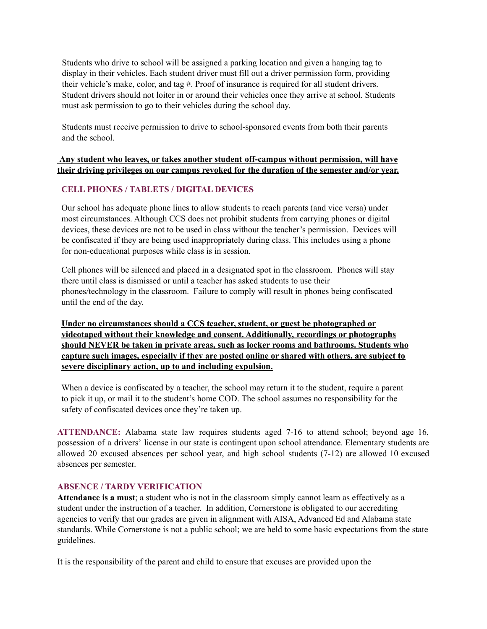Students who drive to school will be assigned a parking location and given a hanging tag to display in their vehicles. Each student driver must fill out a driver permission form, providing their vehicle's make, color, and tag #. Proof of insurance is required for all student drivers. Student drivers should not loiter in or around their vehicles once they arrive at school. Students must ask permission to go to their vehicles during the school day.

Students must receive permission to drive to school-sponsored events from both their parents and the school.

# **Any student who leaves, or takes another student off-campus without permission, will have their driving privileges on our campus revoked for the duration of the semester and/or year.**

# **CELL PHONES / TABLETS / DIGITAL DEVICES**

Our school has adequate phone lines to allow students to reach parents (and vice versa) under most circumstances. Although CCS does not prohibit students from carrying phones or digital devices, these devices are not to be used in class without the teacher's permission. Devices will be confiscated if they are being used inappropriately during class. This includes using a phone for non-educational purposes while class is in session.

Cell phones will be silenced and placed in a designated spot in the classroom. Phones will stay there until class is dismissed or until a teacher has asked students to use their phones/technology in the classroom. Failure to comply will result in phones being confiscated until the end of the day.

**Under no circumstances should a CCS teacher, student, or guest be photographed or videotaped without their knowledge and consent. Additionally, recordings or photographs should NEVER be taken in private areas, such as locker rooms and bathrooms. Students who capture such images, especially if they are posted online or shared with others, are subject to severe disciplinary action, up to and including expulsion.**

When a device is confiscated by a teacher, the school may return it to the student, require a parent to pick it up, or mail it to the student's home COD. The school assumes no responsibility for the safety of confiscated devices once they're taken up.

**ATTENDANCE:** Alabama state law requires students aged 7-16 to attend school; beyond age 16, possession of a drivers' license in our state is contingent upon school attendance. Elementary students are allowed 20 excused absences per school year, and high school students (7-12) are allowed 10 excused absences per semester.

# **ABSENCE / TARDY VERIFICATION**

**Attendance is a must**; a student who is not in the classroom simply cannot learn as effectively as a student under the instruction of a teacher. In addition, Cornerstone is obligated to our accrediting agencies to verify that our grades are given in alignment with AISA, Advanced Ed and Alabama state standards. While Cornerstone is not a public school; we are held to some basic expectations from the state guidelines.

It is the responsibility of the parent and child to ensure that excuses are provided upon the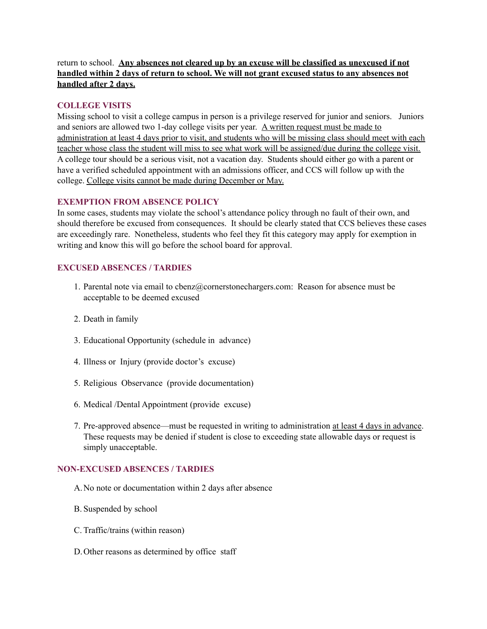# return to school. **Any absences not cleared up by an excuse will be classified as unexcused if not handled within 2 days of return to school. We will not grant excused status to any absences not handled after 2 days.**

# **COLLEGE VISITS**

Missing school to visit a college campus in person is a privilege reserved for junior and seniors. Juniors and seniors are allowed two 1-day college visits per year. A written request must be made to administration at least 4 days prior to visit, and students who will be missing class should meet with each teacher whose class the student will miss to see what work will be assigned/due during the college visit. A college tour should be a serious visit, not a vacation day. Students should either go with a parent or have a verified scheduled appointment with an admissions officer, and CCS will follow up with the college. College visits cannot be made during December or May.

#### **EXEMPTION FROM ABSENCE POLICY**

In some cases, students may violate the school's attendance policy through no fault of their own, and should therefore be excused from consequences. It should be clearly stated that CCS believes these cases are exceedingly rare. Nonetheless, students who feel they fit this category may apply for exemption in writing and know this will go before the school board for approval.

# **EXCUSED ABSENCES / TARDIES**

- 1. Parental note via email to cbenz@cornerstonechargers.com: Reason for absence must be acceptable to be deemed excused
- 2. Death in family
- 3. Educational Opportunity (schedule in advance)
- 4. Illness or Injury (provide doctor's excuse)
- 5. Religious Observance (provide documentation)
- 6. Medical /Dental Appointment (provide excuse)
- 7. Pre-approved absence—must be requested in writing to administration at least 4 days in advance. These requests may be denied if student is close to exceeding state allowable days or request is simply unacceptable.

# **NON-EXCUSED ABSENCES / TARDIES**

- A.No note or documentation within 2 days after absence
- B. Suspended by school
- C. Traffic/trains (within reason)
- D.Other reasons as determined by office staff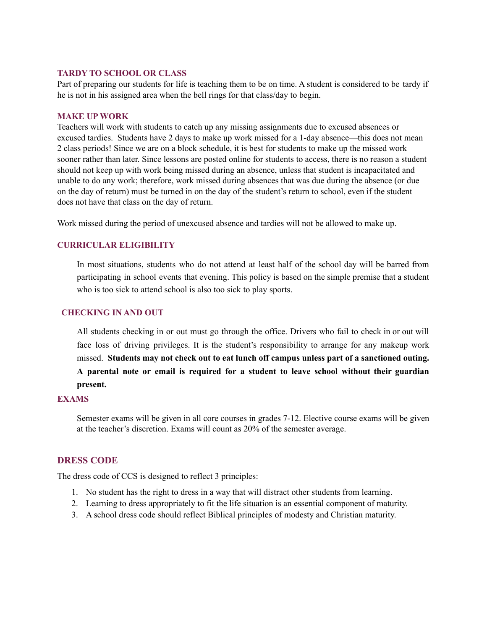#### **TARDY TO SCHOOL OR CLASS**

Part of preparing our students for life is teaching them to be on time. A student is considered to be tardy if he is not in his assigned area when the bell rings for that class/day to begin.

#### **MAKE UP WORK**

Teachers will work with students to catch up any missing assignments due to excused absences or excused tardies. Students have 2 days to make up work missed for a 1-day absence—this does not mean 2 class periods! Since we are on a block schedule, it is best for students to make up the missed work sooner rather than later. Since lessons are posted online for students to access, there is no reason a student should not keep up with work being missed during an absence, unless that student is incapacitated and unable to do any work; therefore, work missed during absences that was due during the absence (or due on the day of return) must be turned in on the day of the student's return to school, even if the student does not have that class on the day of return.

Work missed during the period of unexcused absence and tardies will not be allowed to make up.

# **CURRICULAR ELIGIBILITY**

In most situations, students who do not attend at least half of the school day will be barred from participating in school events that evening. This policy is based on the simple premise that a student who is too sick to attend school is also too sick to play sports.

# **CHECKING IN AND OUT**

All students checking in or out must go through the office. Drivers who fail to check in or out will face loss of driving privileges. It is the student's responsibility to arrange for any makeup work missed. **Students may not check out to eat lunch off campus unless part of a sanctioned outing. A parental note or email is required for a student to leave school without their guardian present.**

#### **EXAMS**

Semester exams will be given in all core courses in grades 7-12. Elective course exams will be given at the teacher's discretion. Exams will count as 20% of the semester average.

# **DRESS CODE**

The dress code of CCS is designed to reflect 3 principles:

- 1. No student has the right to dress in a way that will distract other students from learning.
- 2. Learning to dress appropriately to fit the life situation is an essential component of maturity.
- 3. A school dress code should reflect Biblical principles of modesty and Christian maturity.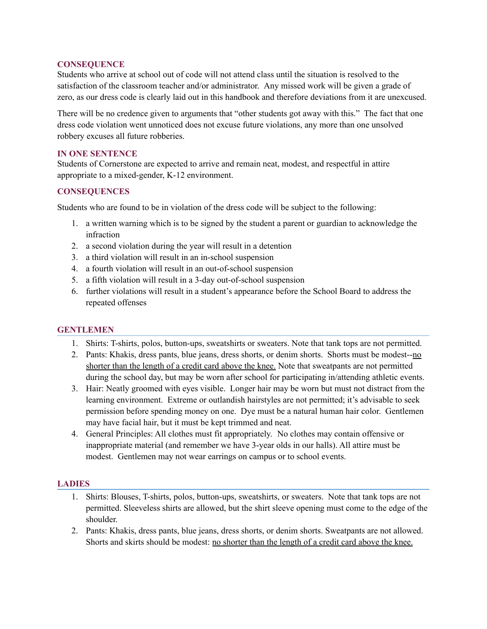# **CONSEQUENCE**

Students who arrive at school out of code will not attend class until the situation is resolved to the satisfaction of the classroom teacher and/or administrator. Any missed work will be given a grade of zero, as our dress code is clearly laid out in this handbook and therefore deviations from it are unexcused.

There will be no credence given to arguments that "other students got away with this." The fact that one dress code violation went unnoticed does not excuse future violations, any more than one unsolved robbery excuses all future robberies.

### **IN ONE SENTENCE**

Students of Cornerstone are expected to arrive and remain neat, modest, and respectful in attire appropriate to a mixed-gender, K-12 environment.

# **CONSEQUENCES**

Students who are found to be in violation of the dress code will be subject to the following:

- 1. a written warning which is to be signed by the student a parent or guardian to acknowledge the infraction
- 2. a second violation during the year will result in a detention
- 3. a third violation will result in an in-school suspension
- 4. a fourth violation will result in an out-of-school suspension
- 5. a fifth violation will result in a 3-day out-of-school suspension
- 6. further violations will result in a student's appearance before the School Board to address the repeated offenses

# **GENTLEMEN**

- 1. Shirts: T-shirts, polos, button-ups, sweatshirts or sweaters. Note that tank tops are not permitted.
- 2. Pants: Khakis, dress pants, blue jeans, dress shorts, or denim shorts. Shorts must be modest--no shorter than the length of a credit card above the knee. Note that sweatpants are not permitted during the school day, but may be worn after school for participating in/attending athletic events.
- 3. Hair: Neatly groomed with eyes visible. Longer hair may be worn but must not distract from the learning environment. Extreme or outlandish hairstyles are not permitted; it's advisable to seek permission before spending money on one. Dye must be a natural human hair color. Gentlemen may have facial hair, but it must be kept trimmed and neat.
- 4. General Principles: All clothes must fit appropriately. No clothes may contain offensive or inappropriate material (and remember we have 3-year olds in our halls). All attire must be modest. Gentlemen may not wear earrings on campus or to school events.

# **LADIES**

- 1. Shirts: Blouses, T-shirts, polos, button-ups, sweatshirts, or sweaters. Note that tank tops are not permitted. Sleeveless shirts are allowed, but the shirt sleeve opening must come to the edge of the shoulder.
- 2. Pants: Khakis, dress pants, blue jeans, dress shorts, or denim shorts. Sweatpants are not allowed. Shorts and skirts should be modest: no shorter than the length of a credit card above the knee.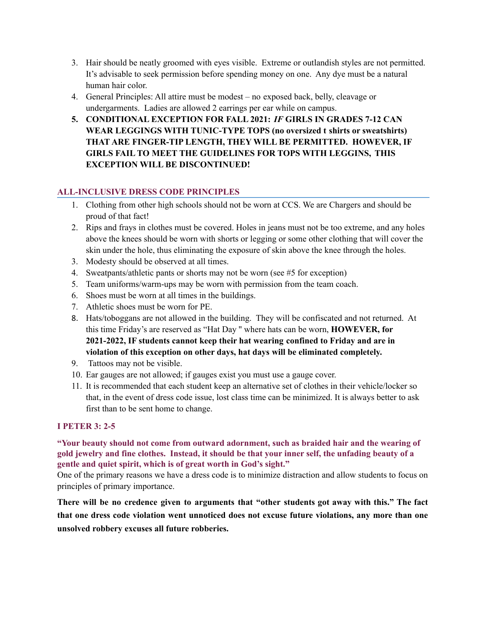- 3. Hair should be neatly groomed with eyes visible. Extreme or outlandish styles are not permitted. It's advisable to seek permission before spending money on one. Any dye must be a natural human hair color.
- 4. General Principles: All attire must be modest no exposed back, belly, cleavage or undergarments. Ladies are allowed 2 earrings per ear while on campus.
- **5. CONDITIONAL EXCEPTION FOR FALL 2021:** *IF* **GIRLS IN GRADES 7-12 CAN WEAR LEGGINGS WITH TUNIC-TYPE TOPS (no oversized t shirts or sweatshirts) THAT ARE FINGER-TIP LENGTH, THEY WILL BE PERMITTED. HOWEVER, IF GIRLS FAIL TO MEET THE GUIDELINES FOR TOPS WITH LEGGINS, THIS EXCEPTION WILL BE DISCONTINUED!**

# **ALL-INCLUSIVE DRESS CODE PRINCIPLES**

- 1. Clothing from other high schools should not be worn at CCS. We are Chargers and should be proud of that fact!
- 2. Rips and frays in clothes must be covered. Holes in jeans must not be too extreme, and any holes above the knees should be worn with shorts or legging or some other clothing that will cover the skin under the hole, thus eliminating the exposure of skin above the knee through the holes.
- 3. Modesty should be observed at all times.
- 4. Sweatpants/athletic pants or shorts may not be worn (see #5 for exception)
- 5. Team uniforms/warm-ups may be worn with permission from the team coach.
- 6. Shoes must be worn at all times in the buildings.
- 7. Athletic shoes must be worn for PE.
- 8. Hats/toboggans are not allowed in the building. They will be confiscated and not returned. At this time Friday's are reserved as "Hat Day '' where hats can be worn, **HOWEVER, for 2021-2022, IF students cannot keep their hat wearing confined to Friday and are in violation of this exception on other days, hat days will be eliminated completely.**
- 9. Tattoos may not be visible.
- 10. Ear gauges are not allowed; if gauges exist you must use a gauge cover.
- 11. It is recommended that each student keep an alternative set of clothes in their vehicle/locker so that, in the event of dress code issue, lost class time can be minimized. It is always better to ask first than to be sent home to change.

# **I PETER 3: 2-5**

# **"Your beauty should not come from outward adornment, such as braided hair and the wearing of** gold jewelry and fine clothes. Instead, it should be that your inner self, the unfading beauty of a **gentle and quiet spirit, which is of great worth in God's sight."**

One of the primary reasons we have a dress code is to minimize distraction and allow students to focus on principles of primary importance.

**There will be no credence given to arguments that "other students got away with this." The fact that one dress code violation went unnoticed does not excuse future violations, any more than one unsolved robbery excuses all future robberies.**